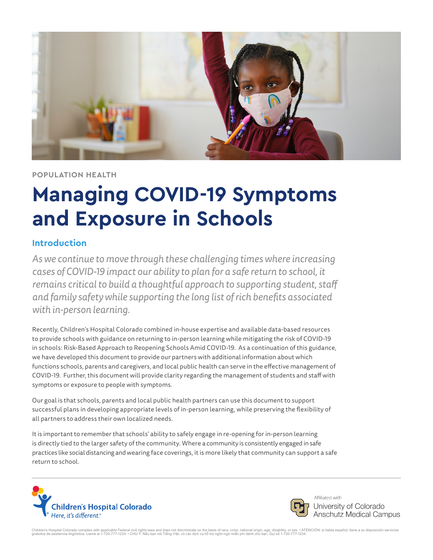

#### **POPULATION HEALTH**

# **Managing COVID-19 Symptoms and Exposure in Schools**

#### **Introduction**

*As we continue to move through these challenging times where increasing cases of COVID-19 impact our ability to plan for a safe return to school, it remains critical to build a thoughtful approach to supporting student, staff and family safety while supporting the long list of rich benefits associated with in-person learning.*

Recently, Children's Hospital Colorado combined in-house expertise and available data-based resources to provide schools with guidance on returning to in-person learning while mitigating the risk of COVID-19 in schools: [Risk-Based Approach to Reopening Schools Amid COVID-19](https://www.childrenscolorado.org/49eee6/globalassets/community/reopening-schools-during-covid19.pdf). As a continuation of this guidance, we have developed this document to provide our partners with additional information about which functions schools, parents and caregivers, and local public health can serve in the effective management of COVID-19. Further, this document will provide clarity regarding the management of students and staff with symptoms or exposure to people with symptoms.

Our goal is that schools, parents and local public health partners can use this document to support successful plans in developing appropriate levels of in-person learning, while preserving the flexibility of all partners to address their own localized needs.

It is important to remember that schools' ability to safely engage in re-opening for in-person learning is directly tied to the larger safety of the community. Where a community is consistently engaged in safe practices like social distancing and wearing face coverings, it is more likely that community can support a safe return to school.





Affiliated with University of Colorado **Anschutz Medical Campus** 

Children's Hospital Colorado complies with applicable Federal civil rights laws and does not discriminate on the basis of race, color, national origin, age, disability, or ess. • ATENCION: si habla español, tiene a su disp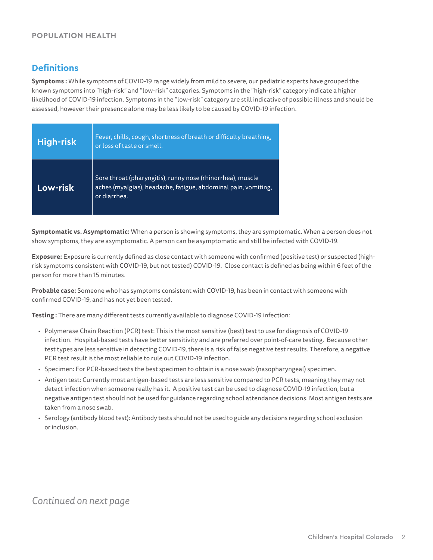### **Definitions**

**Symptoms :** While symptoms of COVID-19 range widely from mild to severe, our pediatric experts have grouped the known symptoms into "high-risk" and "low-risk" categories. Symptoms in the "high-risk" category indicate a higher likelihood of COVID-19 infection. Symptoms in the "low-risk" category are still indicative of possible illness and should be assessed, however their presence alone may be less likely to be caused by COVID-19 infection.

| <b>High-risk</b> | Fever, chills, cough, shortness of breath or difficulty breathing,<br>or loss of taste or smell.                                             |
|------------------|----------------------------------------------------------------------------------------------------------------------------------------------|
| Low-risk         | Sore throat (pharyngitis), runny nose (rhinorrhea), muscle<br>aches (myalgias), headache, fatigue, abdominal pain, vomiting,<br>or diarrhea. |

**Symptomatic vs. Asymptomatic:** When a person is showing symptoms, they are symptomatic. When a person does not show symptoms, they are asymptomatic. A person can be asymptomatic and still be infected with COVID-19.

**Exposure:** Exposure is currently defined as close contact with someone with confirmed (positive test) or suspected (highrisk symptoms consistent with COVID-19, but not tested) COVID-19. Close contact is defined as being within 6 feet of the person for more than 15 minutes.

**Probable case:** Someone who has symptoms consistent with COVID-19, has been in contact with someone with confirmed COVID-19, and has not yet been tested.

**Testing :** There are many different tests currently available to diagnose COVID-19 infection:

- Polymerase Chain Reaction (PCR) test: This is the most sensitive (best) test to use for diagnosis of COVID-19 infection. Hospital-based tests have better sensitivity and are preferred over point-of-care testing. Because other test types are less sensitive in detecting COVID-19, there is a risk of false negative test results. Therefore, a negative PCR test result is the most reliable to rule out COVID-19 infection.
- Specimen: For PCR-based tests the best specimen to obtain is a nose swab (nasopharyngeal) specimen.
- Antigen test: Currently most antigen-based tests are less sensitive compared to PCR tests, meaning they may not detect infection when someone really has it. A positive test can be used to diagnose COVID-19 infection, but a negative antigen test should not be used for guidance regarding school attendance decisions. Most antigen tests are taken from a nose swab.
- Serology (antibody blood test): Antibody tests should not be used to guide any decisions regarding school exclusion or inclusion.

# *Continued on next page*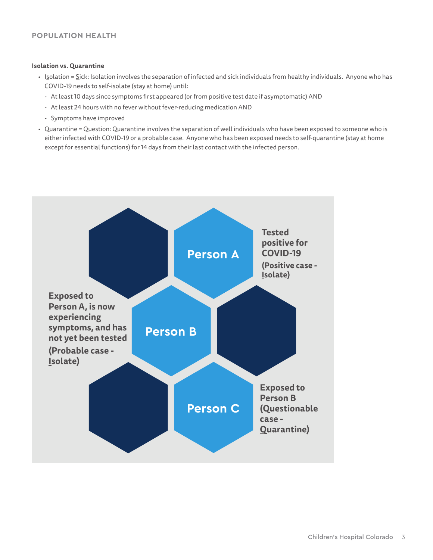#### **Isolation vs. Quarantine**

- Isolation = Sick: Isolation involves the separation of infected and sick individuals from healthy individuals. Anyone who has COVID-19 needs to self-isolate (stay at home) until:
	- At least 10 days since symptoms first appeared (or from positive test date if asymptomatic) AND
	- At least 24 hours with no fever without fever-reducing medication AND
	- Symptoms have improved
- Quarantine = Question: Quarantine involves the separation of well individuals who have been exposed to someone who is either infected with COVID-19 or a probable case. Anyone who has been exposed needs to self-quarantine (stay at home except for essential functions) for 14 days from their last contact with the infected person.

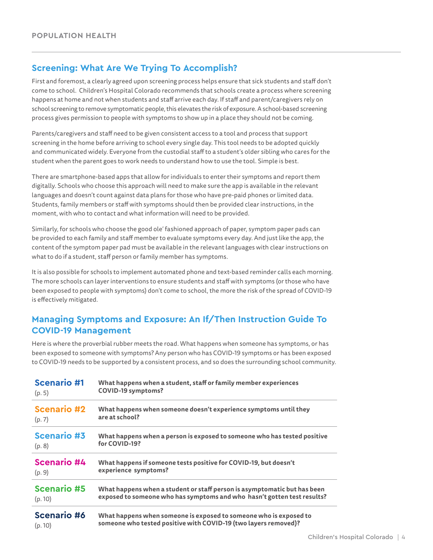### **Screening: What Are We Trying To Accomplish?**

First and foremost, a clearly agreed upon screening process helps ensure that sick students and staff don't come to school. Children's Hospital Colorado recommends that schools create a process where screening happens at home and not when students and staff arrive each day. If staff and parent/caregivers rely on school screening to remove symptomatic people, this elevates the risk of exposure. A school-based screening process gives permission to people with symptoms to show up in a place they should not be coming.

Parents/caregivers and staff need to be given consistent access to a tool and process that support screening in the home before arriving to school every single day. This tool needs to be adopted quickly and communicated widely. Everyone from the custodial staff to a student's older sibling who cares for the student when the parent goes to work needs to understand how to use the tool. Simple is best.

There are smartphone-based apps that allow for individuals to enter their symptoms and report them digitally. Schools who choose this approach will need to make sure the app is available in the relevant languages and doesn't count against data plans for those who have pre-paid phones or limited data. Students, family members or staff with symptoms should then be provided clear instructions, in the moment, with who to contact and what information will need to be provided.

Similarly, for schools who choose the good ole' fashioned approach of paper, symptom paper pads can be provided to each family and staff member to evaluate symptoms every day. And just like the app, the content of the symptom paper pad must be available in the relevant languages with clear instructions on what to do if a student, staff person or family member has symptoms.

It is also possible for schools to implement automated phone and text-based reminder calls each morning. The more schools can layer interventions to ensure students and staff with symptoms (or those who have been exposed to people with symptoms) don't come to school, the more the risk of the spread of COVID-19 is effectively mitigated.

### **Managing Symptoms and Exposure: An If/Then Instruction Guide To COVID-19 Management**

Here is where the proverbial rubber meets the road. What happens when someone has symptoms, or has been exposed to someone with symptoms? Any person who has COVID-19 symptoms or has been exposed to COVID-19 needs to be supported by a consistent process, and so does the surrounding school community.

| <b>Scenario #1</b> | What happens when a student, staff or family member experiences          |
|--------------------|--------------------------------------------------------------------------|
| (p. 5)             | <b>COVID-19 symptoms?</b>                                                |
| <b>Scenario #2</b> | What happens when someone doesn't experience symptoms until they         |
| (p. 7)             | are at school?                                                           |
| <b>Scenario #3</b> | What happens when a person is exposed to someone who has tested positive |
| (p. 8)             | for COVID-19?                                                            |
| <b>Scenario #4</b> | What happens if someone tests positive for COVID-19, but doesn't         |
| (p. 9)             | experience symptoms?                                                     |
| <b>Scenario #5</b> | What happens when a student or staff person is asymptomatic but has been |
| (p. 10)            | exposed to someone who has symptoms and who hasn't gotten test results?  |
| <b>Scenario #6</b> | What happens when someone is exposed to someone who is exposed to        |
| (p. 10)            | someone who tested positive with COVID-19 (two layers removed)?          |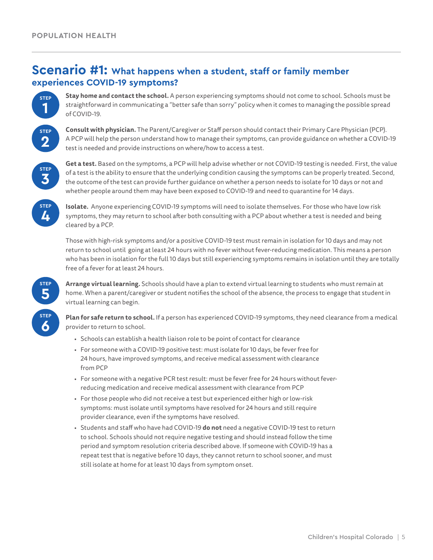# **Scenario #1: What happens when a student, staff or family member experiences COVID-19 symptoms?**



**Stay home and contact the school.** A person experiencing symptoms should not come to school. Schools must be straightforward in communicating a "better safe than sorry" policy when it comes to managing the possible spread of COVID-19.



**Consult with physician.** The Parent/Caregiver or Staff person should contact their Primary Care Physician (PCP). A PCP will help the person understand how to manage their symptoms, can provide guidance on whether a COVID-19 test is needed and provide instructions on where/how to access a test.



**Get a test.** Based on the symptoms, a PCP will help advise whether or not COVID-19 testing is needed. First, the value of a test is the ability to ensure that the underlying condition causing the symptoms can be properly treated. Second, the outcome of the test can provide further guidance on whether a person needs to isolate for 10 days or not and whether people around them may have been exposed to COVID-19 and need to quarantine for 14 days.



**Isolate.** Anyone experiencing COVID-19 symptoms will need to isolate themselves. For those who have low risk symptoms, they may return to school after both consulting with a PCP about whether a test is needed and being cleared by a PCP.

Those with high-risk symptoms and/or a positive COVID-19 test must remain in isolation for 10 days and may not return to school until going at least 24 hours with no fever without fever-reducing medication. This means a person who has been in isolation for the full 10 days but still experiencing symptoms remains in isolation until they are totally free of a fever for at least 24 hours.



**Arrange virtual learning.** Schools should have a plan to extend virtual learning to students who must remain at home. When a parent/caregiver or student notifies the school of the absence, the process to engage that student in virtual learning can begin.

**Plan for safe return to school.** If a person has experienced COVID-19 symptoms, they need clearance from a medical provider to return to school.

- Schools can establish a health liaison role to be point of contact for clearance
- For someone with a COVID-19 positive test: must isolate for 10 days, be fever free for 24 hours, have improved symptoms, and receive medical assessment with clearance from PCP
- For someone with a negative PCR test result: must be fever free for 24 hours without feverreducing medication and receive medical assessment with clearance from PCP
- For those people who did not receive a test but experienced either high or low-risk symptoms: must isolate until symptoms have resolved for 24 hours and still require provider clearance, even if the symptoms have resolved.
- Students and staff who have had COVID-19 **do not** need a negative COVID-19 test to return to school. Schools should not require negative testing and should instead follow the time period and symptom resolution criteria described above. If someone with COVID-19 has a repeat test that is negative before 10 days, they cannot return to school sooner, and must still isolate at home for at least 10 days from symptom onset.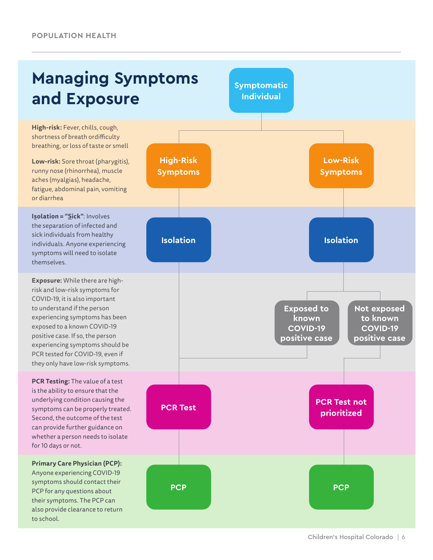# **Managing Symptoms and Exposure**

**High-risk:** Fever, chills, cough, shortness of breath ordifficulty breathing, or loss of taste or smell

**Low-risk:** Sore throat (pharygitis), runny nose (rhinorrhea), muscle aches (myalgias), headache, fatigue, abdominal pain, vomiting or diarrhea

**Isolation = "Sick"**: Involves the separation of infected and sick individuals from healthy individuals. Anyone experiencing symptoms will need to isolate themselves.

**Exposure:** While there are highrisk and low-risk symptoms for COVID-19, it is also important to understand if the person experiencing symptoms has been exposed to a known COVID-19 positive case. If so, the person experiencing symptoms should be PCR tested for COVID-19, even if they only have low-risk symptoms.

**PCR Testing:** The value of a test is the ability to ensure that the underlying condition causing the symptoms can be properly treated. Second, the outcome of the test can provide further guidance on whether a person needs to isolate for 10 days or not.

**Primary Care Physician (PCP):**  Anyone experiencing COVID-19 symptoms should contact their PCP for any questions about their symptoms. The PCP can also provide clearance to return to school.

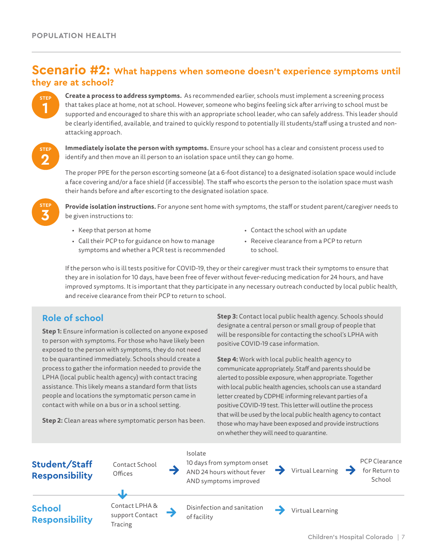# **Scenario #2: What happens when someone doesn't experience symptoms until they are at school?**



**Create a process to address symptoms.** As recommended earlier, schools must implement a screening process that takes place at home, not at school. However, someone who begins feeling sick after arriving to school must be supported and encouraged to share this with an appropriate school leader, who can safely address. This leader should be clearly identified, available, and trained to quickly respond to potentially ill students/staff using a trusted and nonattacking approach.

**STEP 2**

**Immediately isolate the person with symptoms.** Ensure your school has a clear and consistent process used to identify and then move an ill person to an isolation space until they can go home.

The proper PPE for the person escorting someone (at a 6-foot distance) to a designated isolation space would include a face covering and/or a face shield (if accessible). The staff who escorts the person to the isolation space must wash their hands before and after escorting to the designated isolation space.



**Provide isolation instructions.** For anyone sent home with symptoms, the staff or student parent/caregiver needs to be given instructions to:

- Keep that person at home
- Call their PCP to for guidance on how to manage symptoms and whether a PCR test is recommended
- Contact the school with an update
- Receive clearance from a PCP to return to school.

If the person who is ill tests positive for COVID-19, they or their caregiver must track their symptoms to ensure that they are in isolation for 10 days, have been free of fever without fever-reducing medication for 24 hours, and have improved symptoms. It is important that they participate in any necessary outreach conducted by local public health, and receive clearance from their PCP to return to school.

## **Role of school**

**Step 1:** Ensure information is collected on anyone exposed to person with symptoms. For those who have likely been exposed to the person with symptoms, they do not need to be quarantined immediately. Schools should create a process to gather the information needed to provide the LPHA (local public health agency) with contact tracing assistance. This likely means a standard form that lists people and locations the symptomatic person came in contact with while on a bus or in a school setting.

**Step 2:** Clean areas where symptomatic person has been.

**Step 3:** Contact local public health agency. Schools should designate a central person or small group of people that will be responsible for contacting the school's LPHA with positive COVID-19 case information.

**Step 4:** Work with local public health agency to communicate appropriately. Staff and parents should be alerted to possible exposure, when appropriate. Together with local public health agencies, schools can use a standard letter created by CDPHE informing relevant parties of a positive COVID-19 test. This letter will outline the process that will be used by the local public health agency to contact those who may have been exposed and provide instructions on whether they will need to quarantine.

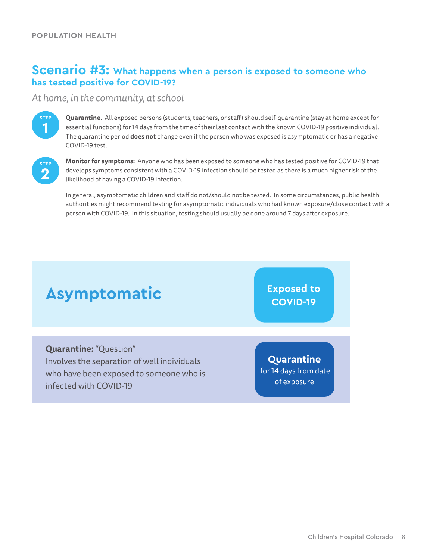# **Scenario #3: What happens when a person is exposed to someone who has tested positive for COVID-19?**

#### *At home, in the community, at school*



**Quarantine.** All exposed persons (students, teachers, or staff) should self-quarantine (stay at home except for essential functions) for 14 days from the time of their last contact with the known COVID-19 positive individual. The quarantine period **does not** change even if the person who was exposed is asymptomatic or has a negative COVID-19 test.



**Monitor for symptoms:** Anyone who has been exposed to someone who has tested positive for COVID-19 that develops symptoms consistent with a COVID-19 infection should be tested as there is a much higher risk of the likelihood of having a COVID-19 infection.

In general, asymptomatic children and staff do not/should not be tested. In some circumstances, public health authorities might recommend testing for asymptomatic individuals who had known exposure/close contact with a person with COVID-19. In this situation, testing should usually be done around 7 days after exposure.

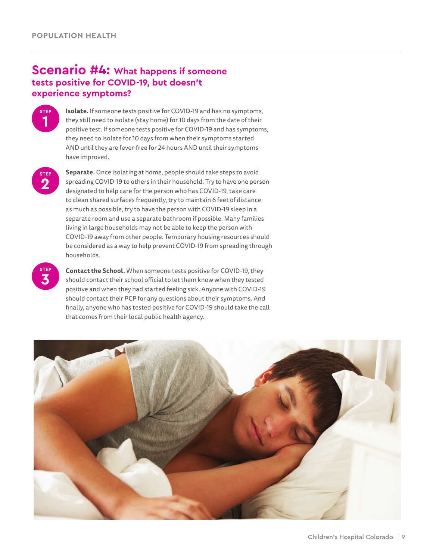# **Scenario #4: What happens if someone tests positive for COVID-19, but doesn't experience symptoms?**



**Isolate.** If someone tests positive for COVID-19 and has no symptoms, they still need to isolate (stay home) for 10 days from the date of their positive test. If someone tests positive for COVID-19 and has symptoms, they need to isolate for 10 days from when their symptoms started AND until they are fever-free for 24 hours AND until their symptoms have improved.

**STEP 2**

**Separate.** Once isolating at home, people should take steps to avoid spreading COVID-19 to others in their household. Try to have one person designated to help care for the person who has COVID-19, take care to clean shared surfaces frequently, try to maintain 6 feet of distance as much as possible, try to have the person with COVID-19 sleep in a separate room and use a separate bathroom if possible. Many families living in large households may not be able to keep the person with COVID-19 away from other people. Temporary housing resources should be considered as a way to help prevent COVID-19 from spreading through households.

**STEP 3**

**Contact the School.** When someone tests positive for COVID-19, they should contact their school official to let them know when they tested positive and when they had started feeling sick. Anyone with COVID-19 should contact their PCP for any questions about their symptoms. And finally, anyone who has tested positive for COVID-19 should take the call that comes from their local public health agency.